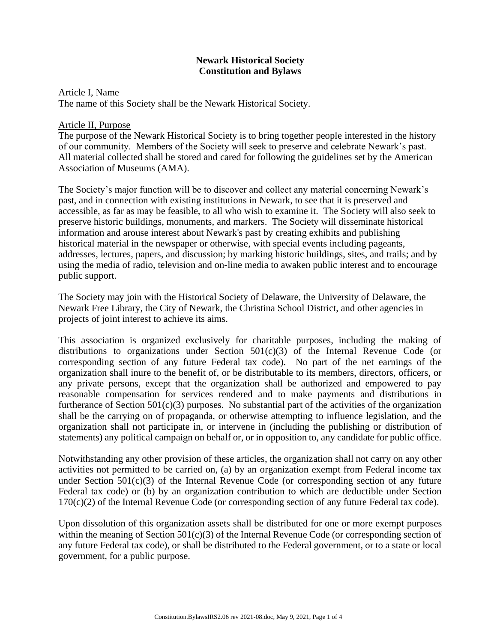# **Newark Historical Society Constitution and Bylaws**

## Article I, Name

The name of this Society shall be the Newark Historical Society.

## Article II, Purpose

The purpose of the Newark Historical Society is to bring together people interested in the history of our community. Members of the Society will seek to preserve and celebrate Newark's past. All material collected shall be stored and cared for following the guidelines set by the American Association of Museums (AMA).

The Society's major function will be to discover and collect any material concerning Newark's past, and in connection with existing institutions in Newark, to see that it is preserved and accessible, as far as may be feasible, to all who wish to examine it. The Society will also seek to preserve historic buildings, monuments, and markers. The Society will disseminate historical information and arouse interest about Newark's past by creating exhibits and publishing historical material in the newspaper or otherwise, with special events including pageants, addresses, lectures, papers, and discussion; by marking historic buildings, sites, and trails; and by using the media of radio, television and on-line media to awaken public interest and to encourage public support.

The Society may join with the Historical Society of Delaware, the University of Delaware, the Newark Free Library, the City of Newark, the Christina School District, and other agencies in projects of joint interest to achieve its aims.

This association is organized exclusively for charitable purposes, including the making of distributions to organizations under Section 501(c)(3) of the Internal Revenue Code (or corresponding section of any future Federal tax code). No part of the net earnings of the organization shall inure to the benefit of, or be distributable to its members, directors, officers, or any private persons, except that the organization shall be authorized and empowered to pay reasonable compensation for services rendered and to make payments and distributions in furtherance of Section 501(c)(3) purposes. No substantial part of the activities of the organization shall be the carrying on of propaganda, or otherwise attempting to influence legislation, and the organization shall not participate in, or intervene in (including the publishing or distribution of statements) any political campaign on behalf or, or in opposition to, any candidate for public office.

Notwithstanding any other provision of these articles, the organization shall not carry on any other activities not permitted to be carried on, (a) by an organization exempt from Federal income tax under Section  $501(c)(3)$  of the Internal Revenue Code (or corresponding section of any future Federal tax code) or (b) by an organization contribution to which are deductible under Section 170(c)(2) of the Internal Revenue Code (or corresponding section of any future Federal tax code).

Upon dissolution of this organization assets shall be distributed for one or more exempt purposes within the meaning of Section 501(c)(3) of the Internal Revenue Code (or corresponding section of any future Federal tax code), or shall be distributed to the Federal government, or to a state or local government, for a public purpose.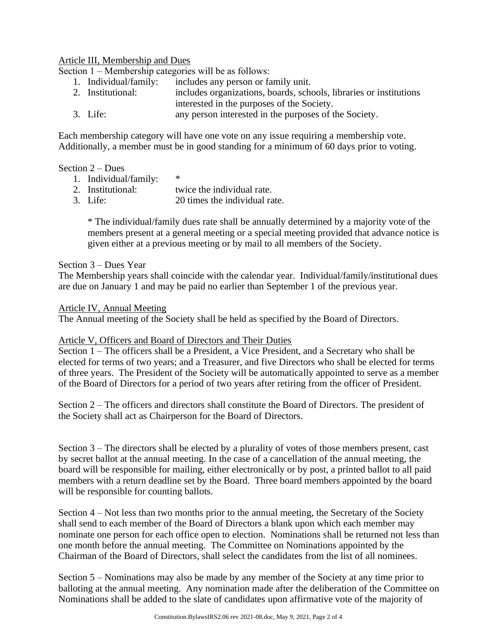### Article III, Membership and Dues

Section 1 – Membership categories will be as follows:

- 1. Individual/family: includes any person or family unit.
- 2. Institutional: includes organizations, boards, schools, libraries or institutions interested in the purposes of the Society.
- 3. Life: any person interested in the purposes of the Society.

Each membership category will have one vote on any issue requiring a membership vote. Additionally, a member must be in good standing for a minimum of 60 days prior to voting.

### Section 2 – Dues

- 1. Individual/family: \*
- 2. Institutional: twice the individual rate.
- 3. Life: 20 times the individual rate.

\* The individual/family dues rate shall be annually determined by a majority vote of the members present at a general meeting or a special meeting provided that advance notice is given either at a previous meeting or by mail to all members of the Society.

### Section 3 – Dues Year

The Membership years shall coincide with the calendar year. Individual/family/institutional dues are due on January 1 and may be paid no earlier than September 1 of the previous year.

### Article IV, Annual Meeting

The Annual meeting of the Society shall be held as specified by the Board of Directors.

#### Article V, Officers and Board of Directors and Their Duties

Section 1 – The officers shall be a President, a Vice President, and a Secretary who shall be elected for terms of two years; and a Treasurer, and five Directors who shall be elected for terms of three years. The President of the Society will be automatically appointed to serve as a member of the Board of Directors for a period of two years after retiring from the officer of President.

Section 2 – The officers and directors shall constitute the Board of Directors. The president of the Society shall act as Chairperson for the Board of Directors.

Section 3 – The directors shall be elected by a plurality of votes of those members present, cast by secret ballot at the annual meeting. In the case of a cancellation of the annual meeting, the board will be responsible for mailing, either electronically or by post, a printed ballot to all paid members with a return deadline set by the Board. Three board members appointed by the board will be responsible for counting ballots.

Section 4 – Not less than two months prior to the annual meeting, the Secretary of the Society shall send to each member of the Board of Directors a blank upon which each member may nominate one person for each office open to election. Nominations shall be returned not less than one month before the annual meeting. The Committee on Nominations appointed by the Chairman of the Board of Directors, shall select the candidates from the list of all nominees.

Section 5 – Nominations may also be made by any member of the Society at any time prior to balloting at the annual meeting. Any nomination made after the deliberation of the Committee on Nominations shall be added to the slate of candidates upon affirmative vote of the majority of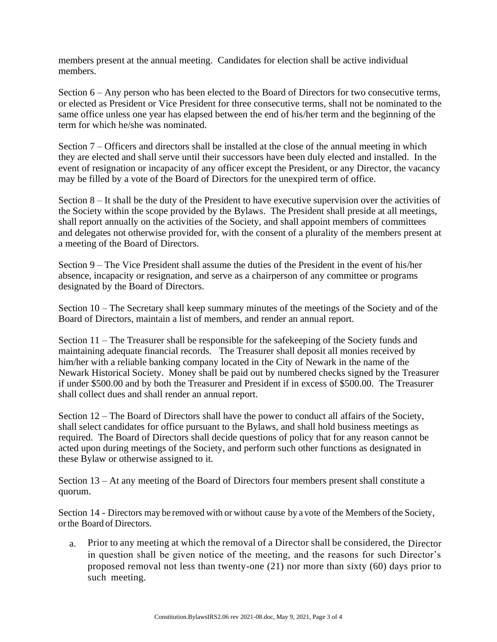members present at the annual meeting. Candidates for election shall be active individual members.

Section 6 – Any person who has been elected to the Board of Directors for two consecutive terms, or elected as President or Vice President for three consecutive terms, shall not be nominated to the same office unless one year has elapsed between the end of his/her term and the beginning of the term for which he/she was nominated.

Section 7 – Officers and directors shall be installed at the close of the annual meeting in which they are elected and shall serve until their successors have been duly elected and installed. In the event of resignation or incapacity of any officer except the President, or any Director, the vacancy may be filled by a vote of the Board of Directors for the unexpired term of office.

Section 8 – It shall be the duty of the President to have executive supervision over the activities of the Society within the scope provided by the Bylaws. The President shall preside at all meetings, shall report annually on the activities of the Society, and shall appoint members of committees and delegates not otherwise provided for, with the consent of a plurality of the members present at a meeting of the Board of Directors.

Section 9 – The Vice President shall assume the duties of the President in the event of his/her absence, incapacity or resignation, and serve as a chairperson of any committee or programs designated by the Board of Directors.

Section 10 – The Secretary shall keep summary minutes of the meetings of the Society and of the Board of Directors, maintain a list of members, and render an annual report.

Section 11 – The Treasurer shall be responsible for the safekeeping of the Society funds and maintaining adequate financial records. The Treasurer shall deposit all monies received by him/her with a reliable banking company located in the City of Newark in the name of the Newark Historical Society. Money shall be paid out by numbered checks signed by the Treasurer if under \$500.00 and by both the Treasurer and President if in excess of \$500.00. The Treasurer shall collect dues and shall render an annual report.

Section 12 – The Board of Directors shall have the power to conduct all affairs of the Society, shall select candidates for office pursuant to the Bylaws, and shall hold business meetings as required. The Board of Directors shall decide questions of policy that for any reason cannot be acted upon during meetings of the Society, and perform such other functions as designated in these Bylaw or otherwise assigned to it.

Section 13 – At any meeting of the Board of Directors four members present shall constitute a quorum.

Section 14 - Directors may be removed with or without cause by a vote of the Members of the Society, orthe Board of Directors.

a. Prior to any meeting at which the removal of a Director shall be considered, the Director in question shall be given notice of the meeting, and the reasons for such Director's proposed removal not less than twenty-one (21) nor more than sixty (60) days prior to such meeting.